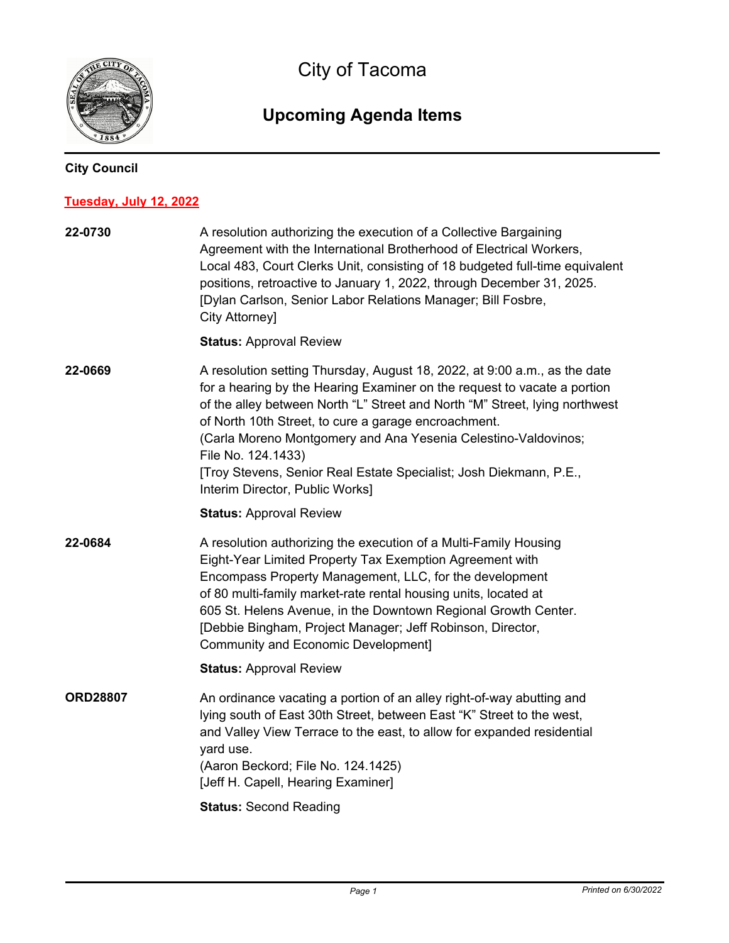

City of Tacoma

## **Upcoming Agenda Items**

## **City Council**

## **Tuesday, July 12, 2022**

| 22-0730         | A resolution authorizing the execution of a Collective Bargaining<br>Agreement with the International Brotherhood of Electrical Workers,<br>Local 483, Court Clerks Unit, consisting of 18 budgeted full-time equivalent<br>positions, retroactive to January 1, 2022, through December 31, 2025.<br>[Dylan Carlson, Senior Labor Relations Manager; Bill Fosbre,<br>City Attorney]                                                                                                           |
|-----------------|-----------------------------------------------------------------------------------------------------------------------------------------------------------------------------------------------------------------------------------------------------------------------------------------------------------------------------------------------------------------------------------------------------------------------------------------------------------------------------------------------|
|                 | <b>Status: Approval Review</b>                                                                                                                                                                                                                                                                                                                                                                                                                                                                |
| 22-0669         | A resolution setting Thursday, August 18, 2022, at 9:00 a.m., as the date<br>for a hearing by the Hearing Examiner on the request to vacate a portion<br>of the alley between North "L" Street and North "M" Street, lying northwest<br>of North 10th Street, to cure a garage encroachment.<br>(Carla Moreno Montgomery and Ana Yesenia Celestino-Valdovinos;<br>File No. 124.1433)<br>[Troy Stevens, Senior Real Estate Specialist; Josh Diekmann, P.E.,<br>Interim Director, Public Works] |
|                 | <b>Status: Approval Review</b>                                                                                                                                                                                                                                                                                                                                                                                                                                                                |
| 22-0684         | A resolution authorizing the execution of a Multi-Family Housing<br>Eight-Year Limited Property Tax Exemption Agreement with<br>Encompass Property Management, LLC, for the development<br>of 80 multi-family market-rate rental housing units, located at<br>605 St. Helens Avenue, in the Downtown Regional Growth Center.<br>[Debbie Bingham, Project Manager; Jeff Robinson, Director,<br><b>Community and Economic Development]</b>                                                      |
|                 | <b>Status: Approval Review</b>                                                                                                                                                                                                                                                                                                                                                                                                                                                                |
| <b>ORD28807</b> | An ordinance vacating a portion of an alley right-of-way abutting and<br>lying south of East 30th Street, between East "K" Street to the west,<br>and Valley View Terrace to the east, to allow for expanded residential<br>yard use.<br>(Aaron Beckord; File No. 124.1425)<br>[Jeff H. Capell, Hearing Examiner]                                                                                                                                                                             |
|                 | <b>Status: Second Reading</b>                                                                                                                                                                                                                                                                                                                                                                                                                                                                 |